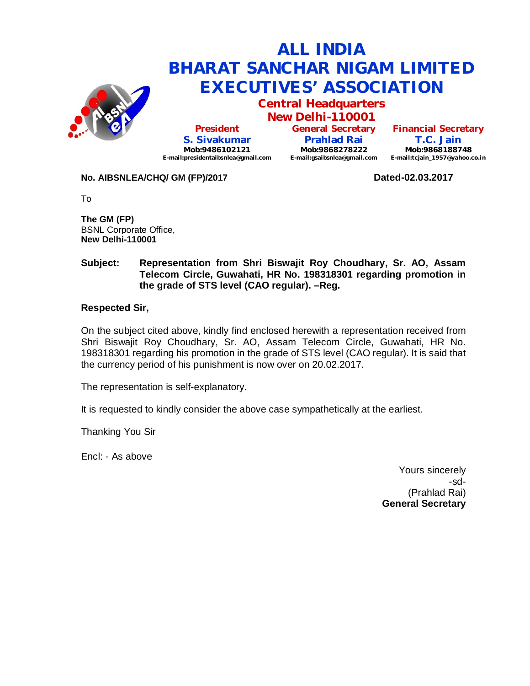

# **ALL INDIA BHARAT SANCHAR NIGAM LIMITED EXECUTIVES' ASSOCIATION**

**Central Headquarters New Delhi-110001**

**President S. Sivakumar Mob:9486102121 E-mail:presidentaibsnlea@gmail.com**

**General Secretary Prahlad Rai Mob:9868278222 E-mail:gsaibsnlea@gmail.com**

**Financial Secretary T.C. Jain Mob:9868188748 E-mail:tcjain\_1957@yahoo.co.in**

### **No. AIBSNLEA/CHQ/ GM (FP)/2017 Dated-02.03.2017**

To

**The GM (FP)** BSNL Corporate Office, **New Delhi-110001** 

### **Subject: Representation from Shri Biswajit Roy Choudhary, Sr. AO, Assam Telecom Circle, Guwahati, HR No. 198318301 regarding promotion in the grade of STS level (CAO regular). –Reg.**

## **Respected Sir,**

On the subject cited above, kindly find enclosed herewith a representation received from Shri Biswajit Roy Choudhary, Sr. AO, Assam Telecom Circle, Guwahati, HR No. 198318301 regarding his promotion in the grade of STS level (CAO regular). It is said that the currency period of his punishment is now over on 20.02.2017.

The representation is self-explanatory.

It is requested to kindly consider the above case sympathetically at the earliest.

Thanking You Sir

Encl: - As above

Yours sincerely -sd- (Prahlad Rai) **General Secretary**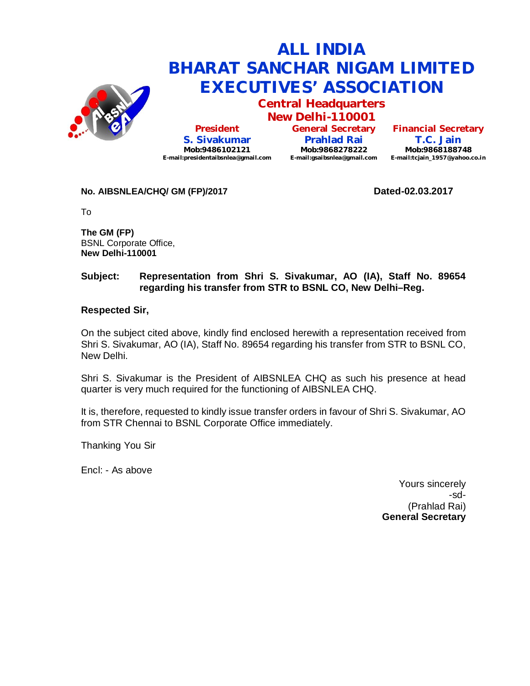

# **ALL INDIA BHARAT SANCHAR NIGAM LIMITED EXECUTIVES' ASSOCIATION**

**Central Headquarters**

**New Delhi-110001 President S. Sivakumar Mob:9486102121 E-mail:presidentaibsnlea@gmail.com**

**General Secretary Prahlad Rai Mob:9868278222 E-mail:gsaibsnlea@gmail.com E-mail:tcjain\_1957@yahoo.co.in**

**Financial Secretary T.C. Jain Mob:9868188748**

## No. AIBSNLEA/CHQ/ GM (FP)/2017 **Dated-02.03.2017**

To

**The GM (FP)** BSNL Corporate Office, **New Delhi-110001** 

# **Subject: Representation from Shri S. Sivakumar, AO (IA), Staff No. 89654 regarding his transfer from STR to BSNL CO, New Delhi–Reg.**

## **Respected Sir,**

On the subject cited above, kindly find enclosed herewith a representation received from Shri S. Sivakumar, AO (IA), Staff No. 89654 regarding his transfer from STR to BSNL CO, New Delhi.

Shri S. Sivakumar is the President of AIBSNLEA CHQ as such his presence at head quarter is very much required for the functioning of AIBSNLEA CHQ.

It is, therefore, requested to kindly issue transfer orders in favour of Shri S. Sivakumar, AO from STR Chennai to BSNL Corporate Office immediately.

Thanking You Sir

Encl: - As above

Yours sincerely -sd- (Prahlad Rai) **General Secretary**